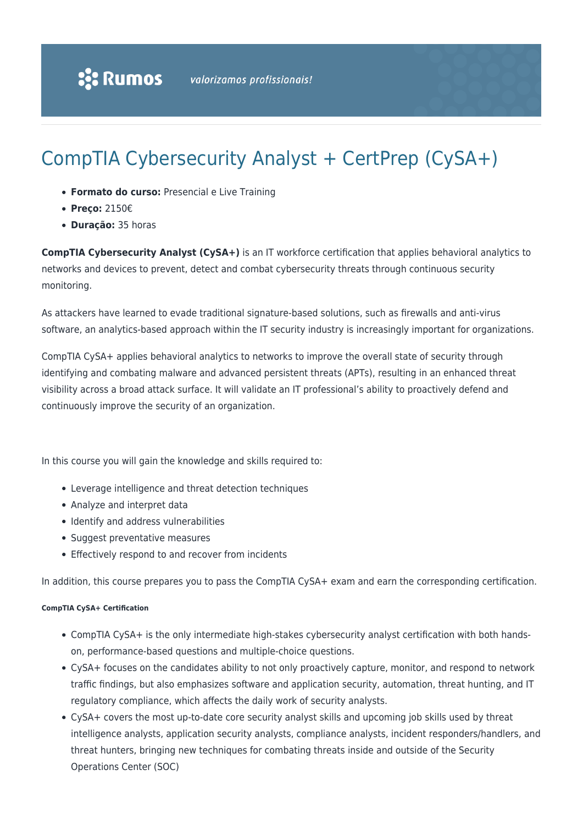# CompTIA Cybersecurity Analyst + CertPrep (CySA+)

- **Formato do curso:** Presencial e Live Training
- **Preço:** 2150€
- **Duração:** 35 horas

**CompTIA Cybersecurity Analyst (CySA+)** is an IT workforce certification that applies behavioral analytics to networks and devices to prevent, detect and combat cybersecurity threats through continuous security monitoring.

As attackers have learned to evade traditional signature-based solutions, such as firewalls and anti-virus software, an analytics-based approach within the IT security industry is increasingly important for organizations.

CompTIA CySA+ applies behavioral analytics to networks to improve the overall state of security through identifying and combating malware and advanced persistent threats (APTs), resulting in an enhanced threat visibility across a broad attack surface. It will validate an IT professional's ability to proactively defend and continuously improve the security of an organization.

In this course you will gain the knowledge and skills required to:

- Leverage intelligence and threat detection techniques
- Analyze and interpret data
- Identify and address vulnerabilities
- Suggest preventative measures
- Effectively respond to and recover from incidents

In addition, this course prepares you to pass the CompTIA CySA+ exam and earn the corresponding certification.

#### **CompTIA CySA+ Certification**

- CompTIA CySA+ is the only intermediate high-stakes cybersecurity analyst certification with both handson, performance-based questions and multiple-choice questions.
- CySA+ focuses on the candidates ability to not only proactively capture, monitor, and respond to network traffic findings, but also emphasizes software and application security, automation, threat hunting, and IT regulatory compliance, which affects the daily work of security analysts.
- CySA+ covers the most up-to-date core security analyst skills and upcoming job skills used by threat intelligence analysts, application security analysts, compliance analysts, incident responders/handlers, and threat hunters, bringing new techniques for combating threats inside and outside of the Security Operations Center (SOC)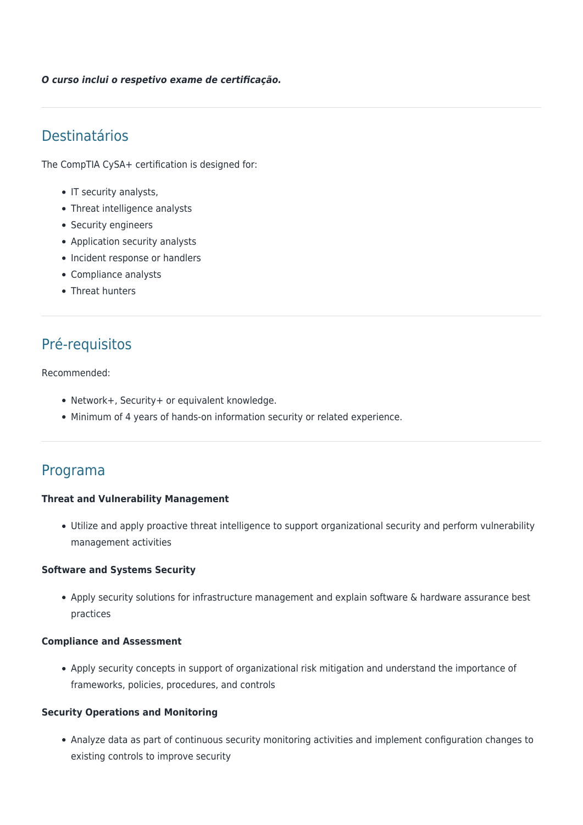*O curso inclui o respetivo exame de certificação.*

# Destinatários

The CompTIA CySA+ certification is designed for:

- IT security analysts,
- Threat intelligence analysts
- Security engineers
- Application security analysts
- Incident response or handlers
- Compliance analysts
- Threat hunters

# Pré-requisitos

#### Recommended:

- Network+, Security+ or equivalent knowledge.
- Minimum of 4 years of hands-on information security or related experience.

## Programa

#### **Threat and Vulnerability Management**

Utilize and apply proactive threat intelligence to support organizational security and perform vulnerability management activities

#### **Software and Systems Security**

Apply security solutions for infrastructure management and explain software & hardware assurance best practices

#### **Compliance and Assessment**

Apply security concepts in support of organizational risk mitigation and understand the importance of frameworks, policies, procedures, and controls

#### **Security Operations and Monitoring**

Analyze data as part of continuous security monitoring activities and implement configuration changes to existing controls to improve security